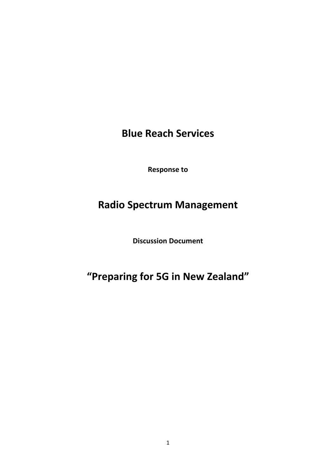**Blue Reach Services** 

**Response to** 

## **Radio Spectrum Management**

**Discussion Document** 

**"Preparing for 5G in New Zealand"**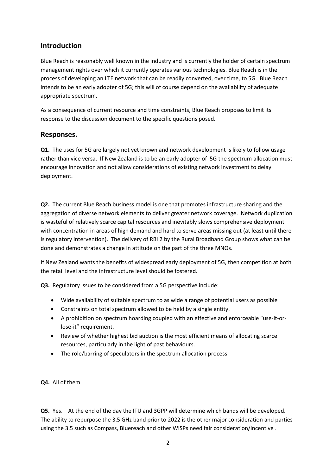## **Introduction**

Blue Reach is reasonably well known in the industry and is currently the holder of certain spectrum management rights over which it currently operates various technologies. Blue Reach is in the process of developing an LTE network that can be readily converted, over time, to 5G. Blue Reach intends to be an early adopter of 5G; this will of course depend on the availability of adequate appropriate spectrum.

As a consequence of current resource and time constraints, Blue Reach proposes to limit its response to the discussion document to the specific questions posed.

## **Responses.**

**Q1.** The uses for 5G are largely not yet known and network development is likely to follow usage rather than vice versa. If New Zealand is to be an early adopter of 5G the spectrum allocation must encourage innovation and not allow considerations of existing network investment to delay deployment.

**Q2.** The current Blue Reach business model is one that promotes infrastructure sharing and the aggregation of diverse network elements to deliver greater network coverage. Network duplication is wasteful of relatively scarce capital resources and inevitably slows comprehensive deployment with concentration in areas of high demand and hard to serve areas missing out (at least until there is regulatory intervention). The delivery of RBI 2 by the Rural Broadband Group shows what can be done and demonstrates a change in attitude on the part of the three MNOs.

If New Zealand wants the benefits of widespread early deployment of 5G, then competition at both the retail level and the infrastructure level should be fostered.

**Q3.** Regulatory issues to be considered from a 5G perspective include:

- Wide availability of suitable spectrum to as wide a range of potential users as possible
- Constraints on total spectrum allowed to be held by a single entity.
- A prohibition on spectrum hoarding coupled with an effective and enforceable "use-it-orlose-it" requirement.
- Review of whether highest bid auction is the most efficient means of allocating scarce resources, particularly in the light of past behaviours.
- The role/barring of speculators in the spectrum allocation process.

**Q4.** All of them

**Q5.** Yes. At the end of the day the ITU and 3GPP will determine which bands will be developed. The ability to repurpose the 3.5 GHz band prior to 2022 is the other major consideration and parties using the 3.5 such as Compass, Bluereach and other WISPs need fair consideration/incentive .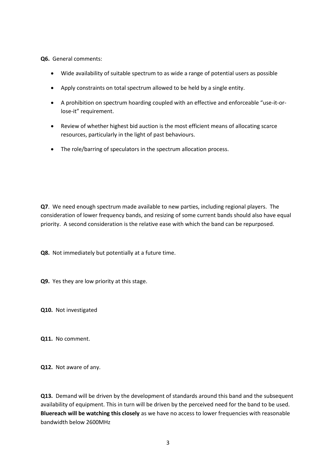**Q6.** General comments:

- Wide availability of suitable spectrum to as wide a range of potential users as possible
- Apply constraints on total spectrum allowed to be held by a single entity.
- A prohibition on spectrum hoarding coupled with an effective and enforceable "use-it-orlose-it" requirement.
- Review of whether highest bid auction is the most efficient means of allocating scarce resources, particularly in the light of past behaviours.
- The role/barring of speculators in the spectrum allocation process.

**Q7**. We need enough spectrum made available to new parties, including regional players. The consideration of lower frequency bands, and resizing of some current bands should also have equal priority. A second consideration is the relative ease with which the band can be repurposed.

**Q8.** Not immediately but potentially at a future time.

**Q9.** Yes they are low priority at this stage.

**Q10.** Not investigated

**Q11.** No comment.

**Q12.** Not aware of any.

**Q13.** Demand will be driven by the development of standards around this band and the subsequent availability of equipment. This in turn will be driven by the perceived need for the band to be used. **Bluereach will be watching this closely** as we have no access to lower frequencies with reasonable bandwidth below 2600MHz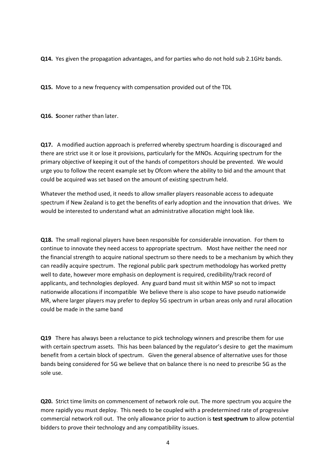**Q14.** Yes given the propagation advantages, and for parties who do not hold sub 2.1GHz bands.

**Q15.** Move to a new frequency with compensation provided out of the TDL

**Q16. S**ooner rather than later.

**Q17.** A modified auction approach is preferred whereby spectrum hoarding is discouraged and there are strict use it or lose it provisions, particularly for the MNOs. Acquiring spectrum for the primary objective of keeping it out of the hands of competitors should be prevented. We would urge you to follow the recent example set by Ofcom where the ability to bid and the amount that could be acquired was set based on the amount of existing spectrum held.

Whatever the method used, it needs to allow smaller players reasonable access to adequate spectrum if New Zealand is to get the benefits of early adoption and the innovation that drives. We would be interested to understand what an administrative allocation might look like.

**Q18.** The small regional players have been responsible for considerable innovation. For them to continue to innovate they need access to appropriate spectrum. Most have neither the need nor the financial strength to acquire national spectrum so there needs to be a mechanism by which they can readily acquire spectrum. The regional public park spectrum methodology has worked pretty well to date, however more emphasis on deployment is required, credibility/track record of applicants, and technologies deployed. Any guard band must sit within MSP so not to impact nationwide allocations if incompatible We believe there is also scope to have pseudo nationwide MR, where larger players may prefer to deploy 5G spectrum in urban areas only and rural allocation could be made in the same band

**Q19** There has always been a reluctance to pick technology winners and prescribe them for use with certain spectrum assets. This has been balanced by the regulator's desire to get the maximum benefit from a certain block of spectrum. Given the general absence of alternative uses for those bands being considered for 5G we believe that on balance there is no need to prescribe 5G as the sole use.

**Q20.** Strict time limits on commencement of network role out. The more spectrum you acquire the more rapidly you must deploy. This needs to be coupled with a predetermined rate of progressive commercial network roll out. The only allowance prior to auction is **test spectrum** to allow potential bidders to prove their technology and any compatibility issues.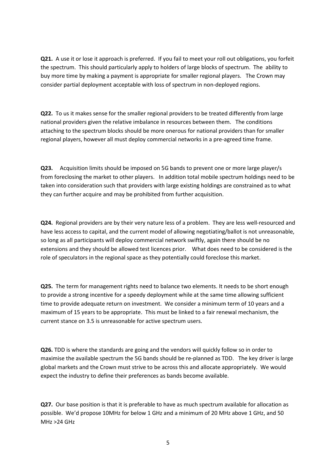**Q21.** A use it or lose it approach is preferred. If you fail to meet your roll out obligations, you forfeit the spectrum. This should particularly apply to holders of large blocks of spectrum. The ability to buy more time by making a payment is appropriate for smaller regional players. The Crown may consider partial deployment acceptable with loss of spectrum in non-deployed regions.

**Q22.** To us it makes sense for the smaller regional providers to be treated differently from large national providers given the relative imbalance in resources between them. The conditions attaching to the spectrum blocks should be more onerous for national providers than for smaller regional players, however all must deploy commercial networks in a pre-agreed time frame.

**Q23.** Acquisition limits should be imposed on 5G bands to prevent one or more large player/s from foreclosing the market to other players. In addition total mobile spectrum holdings need to be taken into consideration such that providers with large existing holdings are constrained as to what they can further acquire and may be prohibited from further acquisition.

**Q24.** Regional providers are by their very nature less of a problem. They are less well-resourced and have less access to capital, and the current model of allowing negotiating/ballot is not unreasonable, so long as all participants will deploy commercial network swiftly, again there should be no extensions and they should be allowed test licences prior. What does need to be considered is the role of speculators in the regional space as they potentially could foreclose this market.

**Q25.** The term for management rights need to balance two elements. It needs to be short enough to provide a strong incentive for a speedy deployment while at the same time allowing sufficient time to provide adequate return on investment. We consider a minimum term of 10 years and a maximum of 15 years to be appropriate. This must be linked to a fair renewal mechanism, the current stance on 3.5 is unreasonable for active spectrum users.

**Q26.** TDD is where the standards are going and the vendors will quickly follow so in order to maximise the available spectrum the 5G bands should be re-planned as TDD. The key driver is large global markets and the Crown must strive to be across this and allocate appropriately. We would expect the industry to define their preferences as bands become available.

**Q27.** Our base position is that it is preferable to have as much spectrum available for allocation as possible. We'd propose 10MHz for below 1 GHz and a minimum of 20 MHz above 1 GHz, and 50 MHz >24 GHz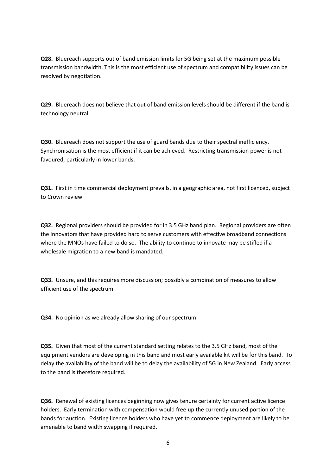**Q28.** Bluereach supports out of band emission limits for 5G being set at the maximum possible transmission bandwidth. This is the most efficient use of spectrum and compatibility issues can be resolved by negotiation.

**Q29.** Bluereach does not believe that out of band emission levels should be different if the band is technology neutral.

**Q30.** Bluereach does not support the use of guard bands due to their spectral inefficiency. Synchronisation is the most efficient if it can be achieved. Restricting transmission power is not favoured, particularly in lower bands.

**Q31.** First in time commercial deployment prevails, in a geographic area, not first licenced, subject to Crown review

**Q32.** Regional providers should be provided for in 3.5 GHz band plan. Regional providers are often the innovators that have provided hard to serve customers with effective broadband connections where the MNOs have failed to do so. The ability to continue to innovate may be stifled if a wholesale migration to a new band is mandated.

**Q33.** Unsure, and this requires more discussion; possibly a combination of measures to allow efficient use of the spectrum

**Q34.** No opinion as we already allow sharing of our spectrum

**Q35.** Given that most of the current standard setting relates to the 3.5 GHz band, most of the equipment vendors are developing in this band and most early available kit will be for this band. To delay the availability of the band will be to delay the availability of 5G in New Zealand. Early access to the band is therefore required.

**Q36.** Renewal of existing licences beginning now gives tenure certainty for current active licence holders. Early termination with compensation would free up the currently unused portion of the bands for auction. Existing licence holders who have yet to commence deployment are likely to be amenable to band width swapping if required.